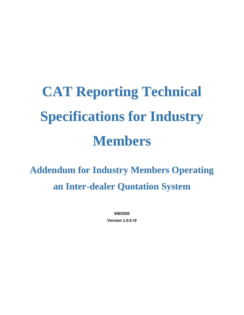# **CAT Reporting Technical Specifications for Industry Members**

**Addendum for Industry Members Operating an Inter-dealer Quotation System**

> **5/8/2020 Version 1.0.0 r0**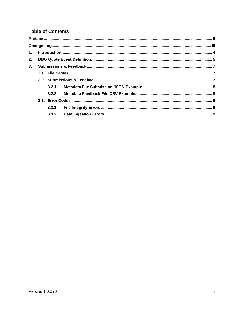# **Table of Contents**

| 2. |  |  |  |  |
|----|--|--|--|--|
| 3. |  |  |  |  |
|    |  |  |  |  |
|    |  |  |  |  |
|    |  |  |  |  |
|    |  |  |  |  |
|    |  |  |  |  |
|    |  |  |  |  |
|    |  |  |  |  |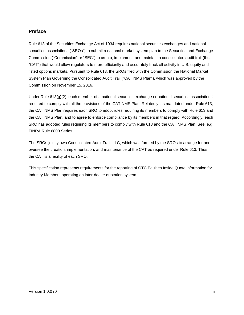## <span id="page-2-0"></span>**Preface**

Rule 613 of the Securities Exchange Act of 1934 requires national securities exchanges and national securities associations ("SROs") to submit a national market system plan to the Securities and Exchange Commission ("Commission" or "SEC") to create, implement, and maintain a consolidated audit trail (the "CAT") that would allow regulators to more efficiently and accurately track all activity in U.S. equity and listed options markets. Pursuant to Rule 613, the SROs filed with the Commission the National Market System Plan Governing the Consolidated Audit Trail ("CAT NMS Plan"), which was approved by the Commission on November 15, 2016.

Under Rule  $613(q)(2)$ , each member of a national securities exchange or national securities association is required to comply with all the provisions of the CAT NMS Plan. Relatedly, as mandated under Rule 613, the CAT NMS Plan requires each SRO to adopt rules requiring its members to comply with Rule 613 and the CAT NMS Plan, and to agree to enforce compliance by its members in that regard. Accordingly, each SRO has adopted rules requiring its members to comply with Rule 613 and the CAT NMS Plan. See, e.g., FINRA Rule 6800 Series.

The SROs jointly own Consolidated Audit Trail, LLC, which was formed by the SROs to arrange for and oversee the creation, implementation, and maintenance of the CAT as required under Rule 613. Thus, the CAT is a facility of each SRO.

This specification represents requirements for the reporting of OTC Equities Inside Quote information for Industry Members operating an inter-dealer quotation system.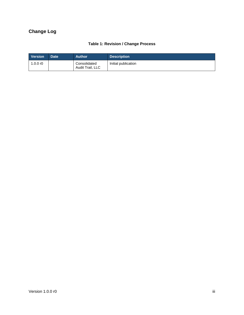# <span id="page-3-0"></span>**Change Log**

# **Table 1: Revision / Change Process**

| <b>Version</b> | Date <sup>1</sup> | <b>Author</b>                    | <b>Description</b>  |
|----------------|-------------------|----------------------------------|---------------------|
| 1.0.0 $r$ 0    |                   | Consolidated<br>Audit Trail, LLC | Initial publication |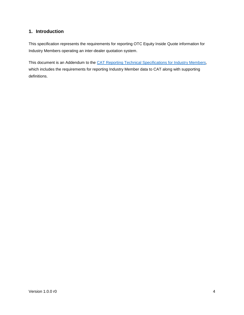# <span id="page-4-0"></span>**1. Introduction**

This specification represents the requirements for reporting OTC Equity Inside Quote information for Industry Members operating an inter-dealer quotation system.

This document is an Addendum to the [CAT Reporting Technical Specifications for Industry Members,](https://www.catnmsplan.com/technical-specifications/index.html) which includes the requirements for reporting Industry Member data to CAT along with supporting definitions.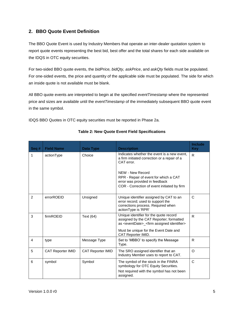# <span id="page-5-0"></span>**2. BBO Quote Event Definition**

The BBO Quote Event is used by Industry Members that operate an inter-dealer quotation system to report quote events representing the best bid, best offer and the total shares for each side available on the IDQS in OTC equity securities.

For two-sided BBO quote events, the *bidPrice, bidQty, askPrice*, and *askQty* fields must be populated. For one-sided events, the price and quantity of the applicable side must be populated. The side for which an inside quote is not available must be blank.

All BBO quote events are interpreted to begin at the specified *eventTimestamp* where the represented price and sizes are available until the *eventTimestamp* of the immediately subsequent BBO quote event in the same symbol.

IDQS BBO Quotes in OTC equity securities must be reported in Phase 2a.

| Seq#           | <b>Field Name</b>        | <b>Data Type</b>         | <b>Description</b>                                                                                                                                                                                                                                      | <b>Include</b><br><b>Key</b> |
|----------------|--------------------------|--------------------------|---------------------------------------------------------------------------------------------------------------------------------------------------------------------------------------------------------------------------------------------------------|------------------------------|
| 1              | actionType               | Choice                   | Indicates whether the event is a new event.<br>a firm initiated correction or a repair of a<br>CAT error.<br>NEW - New Record<br>RPR - Repair of event for which a CAT<br>error was provided in feedback<br>COR - Correction of event initiated by firm | $\mathsf{R}$                 |
| $\mathfrak{p}$ | errorROEID               | Unsigned                 | Unique identifier assigned by CAT to an<br>error record; used to support the<br>corrections process. Required when<br>actionType is 'RPR'                                                                                                               | $\mathsf{C}$                 |
| 3              | firmROEID                | Text (64)                | Unique identifier for the quote record<br>assigned by the CAT Reporter; formatted<br>as <eventdate>_<firm assigned="" identifier=""><br/>Must be unique for the Event Date and<br/>CAT Reporter IMID.</firm></eventdate>                                | R                            |
| 4              | type                     | Message Type             | Set to 'MBBO' to specify the Message<br>Type.                                                                                                                                                                                                           | R                            |
| 5              | <b>CAT Reporter IMID</b> | <b>CAT Reporter IMID</b> | The SRO assigned identifier that an<br>Industry Member uses to report to CAT.                                                                                                                                                                           | O                            |
| 6              | symbol                   | Symbol                   | The symbol of the stock in the FINRA<br>symbology for OTC Equity Securities.<br>Not required with the symbol has not been<br>assigned.                                                                                                                  | C                            |

#### **Table 2: New Quote Event Field Specifications**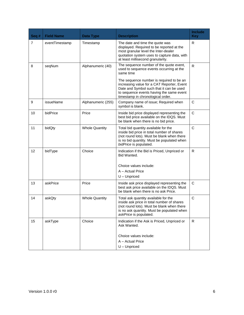| Seq #          | <b>Field Name</b> | <b>Data Type</b>      | <b>Description</b>                                                                                                                                                                                       | <b>Include</b><br><b>Key</b> |
|----------------|-------------------|-----------------------|----------------------------------------------------------------------------------------------------------------------------------------------------------------------------------------------------------|------------------------------|
| $\overline{7}$ | eventTimestamp    | Timestamp             | The date and time the quote was<br>displayed. Required to be reported at the<br>most granular level the Inter-dealer<br>quotation system uses to capture data, with<br>at least millisecond granularity. | R                            |
| 8              | seqNum            | Alphanumeric (40)     | The sequence number of the quote event,<br>used to sequence events occurring at the<br>same time<br>The sequence number is required to be an<br>increasing value for a CAT Reporter, Event               | R                            |
|                |                   |                       | Date and Symbol such that it can be used<br>to sequence events having the same event<br>timestamp in chronological order.                                                                                |                              |
| 9              | issueName         | Alphanumeric (255)    | Company name of issue; Required when<br>symbol is blank.                                                                                                                                                 | C                            |
| 10             | bidPrice          | Price                 | Inside bid price displayed representing the<br>best bid price available on the IDQS. Must<br>be blank when there is no bid price.                                                                        | C                            |
| 11             | bidQty            | <b>Whole Quantity</b> | Total bid quantity available for the<br>inside bid price in total number of shares<br>(not round lots). Must be blank when there<br>is no bid quantity. Must be populated when<br>bidPrice is populated. | $\mathsf{C}$                 |
| 12             | bidType           | Choice                | Indication if the Bid is Priced, Unpriced or<br>Bid Wanted.                                                                                                                                              | R                            |
|                |                   |                       | Choice values include:                                                                                                                                                                                   |                              |
|                |                   |                       | A - Actual Price<br>$U -$ Unpriced                                                                                                                                                                       |                              |
| 13             | askPrice          | Price                 | Inside ask price displayed representing the<br>best ask price available on the IDQS. Must<br>be blank when there is no ask Price.                                                                        | C                            |
| 14             | askQty            | <b>Whole Quantity</b> | Total ask quantity available for the<br>inside ask price in total number of shares<br>(not round lots). Must be blank when there<br>is no ask quantity. Must be populated when<br>askPrice is populated. | $\mathsf{C}$                 |
| 15             | askType           | Choice                | Indication if the Ask is Priced, Unpriced or<br>Ask Wanted.                                                                                                                                              | $\mathsf{R}$                 |
|                |                   |                       | Choice values include:                                                                                                                                                                                   |                              |
|                |                   |                       | A - Actual Price                                                                                                                                                                                         |                              |
|                |                   |                       | $U -$ Unpriced                                                                                                                                                                                           |                              |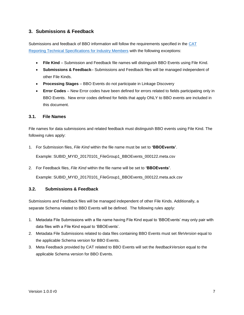# <span id="page-7-0"></span>**3. Submissions & Feedback**

Submissions and feedback of BBO information will follow the requirements specified in the [CAT](https://www.catnmsplan.com/technical-specifications/index.html)  [Reporting Technical Specifications for Industry Members](https://www.catnmsplan.com/technical-specifications/index.html) with the following exceptions:

- **File Kind** Submission and Feedback file names will distinguish BBO Events using File Kind.
- **Submissions & Feedback** Submissions and Feedback files will be managed independent of other File Kinds.
- **Processing Stages** BBO Events do not participate in Linkage Discovery
- **Error Codes** New Error codes have been defined for errors related to fields participating only in BBO Events. New error codes defined for fields that apply ONLY to BBO events are included in this document.

#### <span id="page-7-1"></span>**3.1. File Names**

File names for data submissions and related feedback must distinguish BBO events using File Kind. The following rules apply:

1. For Submission files, *File Kind* within the file name must be set to **'BBOEvents'**.

Example: SUBID\_MYID\_20170101\_FileGroup1\_BBOEvents\_000122.meta.csv

2. For Feedback files, *File Kind* within the file name will be set to **'BBOEvents'**.

<span id="page-7-2"></span>Example: SUBID\_MYID\_20170101\_FileGroup1\_BBOEvents\_000122.meta.ack.csv

### **3.2. Submissions & Feedback**

Submissions and Feedback files will be managed independent of other File Kinds. Additionally, a separate Schema related to BBO Events will be defined. The following rules apply:

- 1. Metadata File Submissions with a file name having File Kind equal to 'BBOEvents' may only pair with data files with a File Kind equal to 'BBOEvents'.
- 2. Metadata File Submissions related to data files containing BBO Events must set *fileVersion* equal to the applicable Schema version for BBO Events.
- 3. Meta Feedback provided by CAT related to BBO Events will set the *feedbackVersion* equal to the applicable Schema version for BBO Events.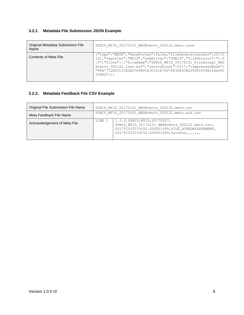### <span id="page-8-0"></span>**3.2.1. Metadata File Submission JSON Example**

| Original Metadata Submission File<br>Name | SUBID MYID 20170101 BBOEvents 000122.meta.json                                                                                                                                                                                                                                                                                                            |
|-------------------------------------------|-----------------------------------------------------------------------------------------------------------------------------------------------------------------------------------------------------------------------------------------------------------------------------------------------------------------------------------------------------------|
| Contents of Meta File                     | {"type":"META","doneForDay":false,"fileGenerationDate":20170<br>101, "reporter": "MYID", "submitter": "SUBID", "fileVersion": "1.0<br>.0", "files": [{"fileName": "SUBID MYID 20170101 FileGroup1 BBO<br>Events 000122.json.bz2", "recordCount":5217, "compressedHash":<br>"99A7712E2CC1CB3A5789B91E3C1D1E76D7F83D82C8D35FF1F56B156A49C<br>$228E2"$ } ] } |

# <span id="page-8-1"></span>**3.2.2. Metadata Feedback File CSV Example**

| Original File Submission File Name | SUBID MYID 20170101 BBOEvents 000122.meta.csv     |                                                                                                                                                                                        |  |
|------------------------------------|---------------------------------------------------|----------------------------------------------------------------------------------------------------------------------------------------------------------------------------------------|--|
| Meta Feedback File Name            | SUBID MYID 20170101 BBOEvents 000122.meta.ack.csv |                                                                                                                                                                                        |  |
| Acknowledgement of Meta File       | LINE 1                                            | 1.0.0, SUBID, MYID, 20170307,<br>SUBID MYID 20170101 BBOEvents 000122.meta.csv,<br>20170101T153552.000001089, FILE ACKNOWLEDGEMENT,<br>20170101T154152.000001089, Success, , , , , , , |  |